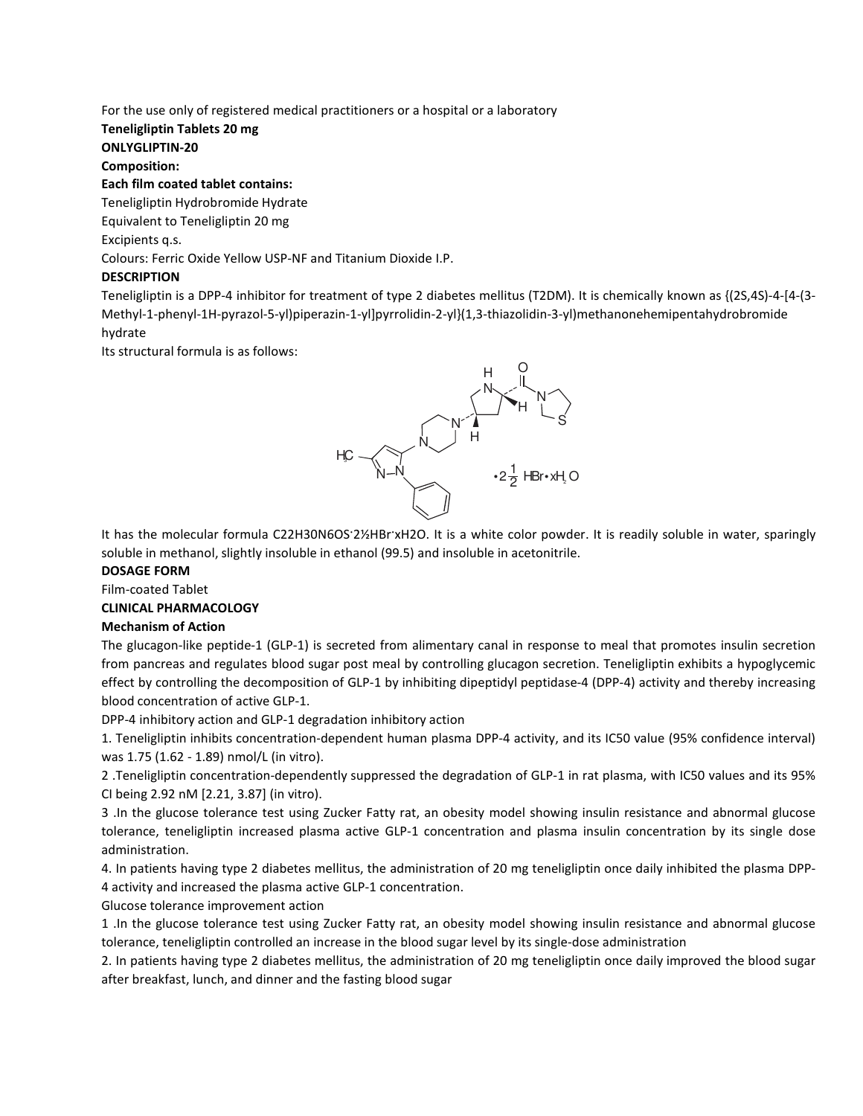For the use only of registered medical practitioners or a hospital or a laboratory

## Teneligliptin Tablets 20 mg

ONLYGLIPTIN-20

Composition:

#### Each film coated tablet contains:

Teneligliptin Hydrobromide Hydrate

Equivalent to Teneligliptin 20 mg

Excipients q.s.

Colours: Ferric Oxide Yellow USP-NF and Titanium Dioxide I.P.

## **DESCRIPTION**

Teneligliptin is a DPP-4 inhibitor for treatment of type 2 diabetes mellitus (T2DM). It is chemically known as {(2S,4S)-4-[4-(3- Methyl-1-phenyl-1H-pyrazol-5-yl)piperazin-1-yl]pyrrolidin-2-yl}(1,3-thiazolidin-3-yl)methanonehemipentahydrobromide hydrate

Its structural formula is as follows:



It has the molecular formula C22H30N6OS<sup>·</sup>2½HBr<sup>·xH2O.</sup> It is a white color powder. It is readily soluble in water, sparingly soluble in methanol, slightly insoluble in ethanol (99.5) and insoluble in acetonitrile.

## DOSAGE FORM

Film-coated Tablet

## CLINICAL PHARMACOLOGY

## Mechanism of Action

The glucagon-like peptide-1 (GLP-1) is secreted from alimentary canal in response to meal that promotes insulin secretion from pancreas and regulates blood sugar post meal by controlling glucagon secretion. Teneligliptin exhibits a hypoglycemic effect by controlling the decomposition of GLP-1 by inhibiting dipeptidyl peptidase-4 (DPP-4) activity and thereby increasing blood concentration of active GLP-1.

DPP-4 inhibitory action and GLP-1 degradation inhibitory action

1. Teneligliptin inhibits concentration-dependent human plasma DPP-4 activity, and its IC50 value (95% confidence interval) was 1.75 (1.62 - 1.89) nmol/L (in vitro).

2 .Teneligliptin concentration-dependently suppressed the degradation of GLP-1 in rat plasma, with IC50 values and its 95% CI being 2.92 nM [2.21, 3.87] (in vitro).

3 .In the glucose tolerance test using Zucker Fatty rat, an obesity model showing insulin resistance and abnormal glucose tolerance, teneligliptin increased plasma active GLP-1 concentration and plasma insulin concentration by its single dose administration.

4. In patients having type 2 diabetes mellitus, the administration of 20 mg teneligliptin once daily inhibited the plasma DPP-4 activity and increased the plasma active GLP-1 concentration.

Glucose tolerance improvement action

1 .In the glucose tolerance test using Zucker Fatty rat, an obesity model showing insulin resistance and abnormal glucose tolerance, teneligliptin controlled an increase in the blood sugar level by its single-dose administration

2. In patients having type 2 diabetes mellitus, the administration of 20 mg teneligliptin once daily improved the blood sugar after breakfast, lunch, and dinner and the fasting blood sugar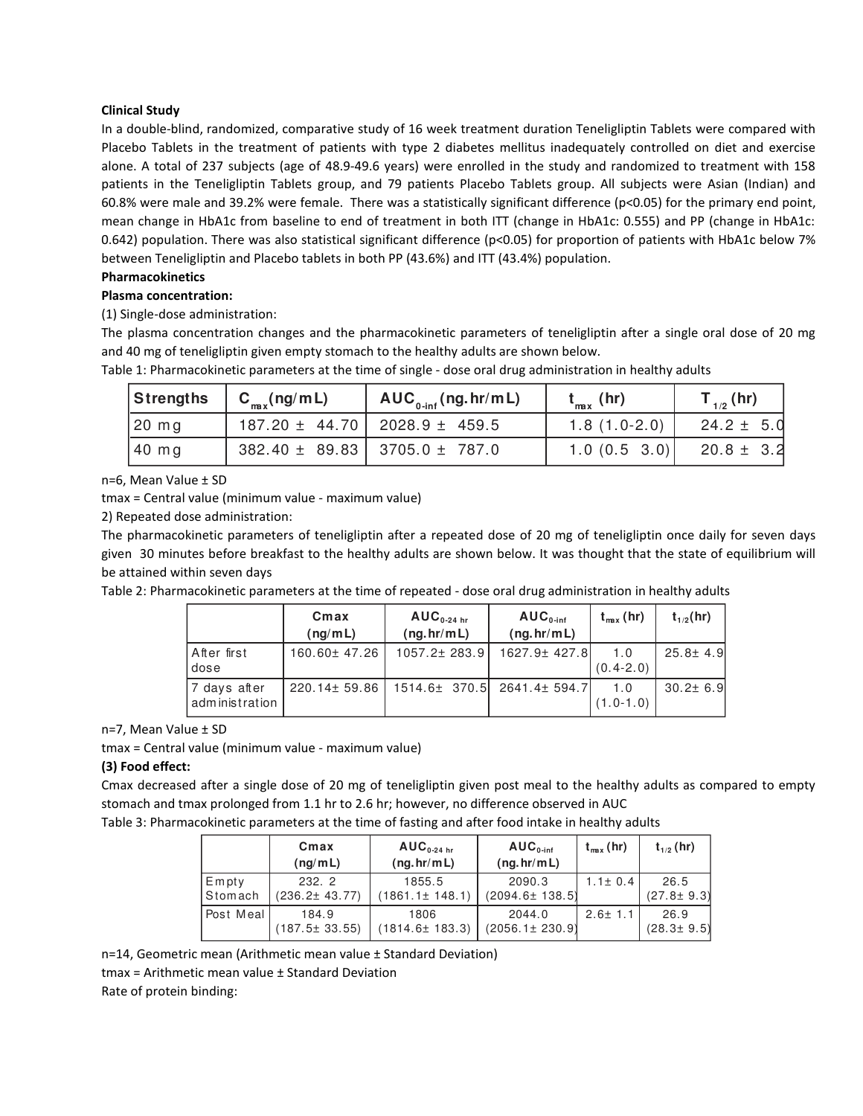## Clinical Study

In a double-blind, randomized, comparative study of 16 week treatment duration Teneligliptin Tablets were compared with Placebo Tablets in the treatment of patients with type 2 diabetes mellitus inadequately controlled on diet and exercise alone. A total of 237 subjects (age of 48.9-49.6 years) were enrolled in the study and randomized to treatment with 158 patients in the Teneligliptin Tablets group, and 79 patients Placebo Tablets group. All subjects were Asian (Indian) and 60.8% were male and 39.2% were female. There was a statistically significant difference (p<0.05) for the primary end point, mean change in HbA1c from baseline to end of treatment in both ITT (change in HbA1c: 0.555) and PP (change in HbA1c: 0.642) population. There was also statistical significant difference (p<0.05) for proportion of patients with HbA1c below 7% between Teneligliptin and Placebo tablets in both PP (43.6%) and ITT (43.4%) population.

# Pharmacokinetics

Plasma concentration: (1) Single-dose administration:

The plasma concentration changes and the pharmacokinetic parameters of teneligliptin after a single oral dose of 20 mg and 40 mg of teneligliptin given empty stomach to the healthy adults are shown below.

| Strengths         | $\begin{pmatrix} C_{\text{max}}(ng/mL) \end{pmatrix}$ | $AUC_{0\text{-inf}}(ng.htm L)$          | $t_{\rm max}$ (hr) | $\mathsf{T}_{\scriptscriptstyle{1/2}}^{\scriptscriptstyle{-}}(\mathsf{hr})$ |
|-------------------|-------------------------------------------------------|-----------------------------------------|--------------------|-----------------------------------------------------------------------------|
| $\sqrt{20}$ mg    |                                                       | $187.20 \pm 44.70$   2028.9 $\pm$ 459.5 | $1.8(1.0-2.0)$     | $24.2 \pm 5.0$                                                              |
| $ 40 \text{ mg} $ |                                                       | $382.40 \pm 89.83$   3705.0 ± 787.0     | 1.0(0.5 3.0)       | $20.8 \pm 3.2$                                                              |

Table 1: Pharmacokinetic parameters at the time of single - dose oral drug administration in healthy adults

n=6, Mean Value ± SD

tmax = Central value (minimum value - maximum value)

2) Repeated dose administration:

The pharmacokinetic parameters of teneligliptin after a repeated dose of 20 mg of teneligliptin once daily for seven days given 30 minutes before breakfast to the healthy adults are shown below. It was thought that the state of equilibrium will be attained within seven days

Table 2: Pharmacokinetic parameters at the time of repeated - dose oral drug administration in healthy adults

|                                | Cmax<br>(nq/mL)    | $AUC0-24 hr$<br>(ng/hr/mL) | $AUC_{0-int}$<br>(ng. hr/m L) | $t_{\rm max}$ (hr)   | $t_{1/2}$ (hr) |
|--------------------------------|--------------------|----------------------------|-------------------------------|----------------------|----------------|
| After first<br>dose            | 160.60± 47.26      | 1057.2± 283.9              | 1627.9± 427.8                 | 1.0<br>$(0.4 - 2.0)$ | $25.8 \pm 4.9$ |
| 7 days after<br>administration | $220.14 \pm 59.86$ |                            | 1514.6± 370.5 2641.4± 594.7   | 1.0<br>$(1.0 - 1.0)$ | $30.2 \pm 6.9$ |

n=7, Mean Value ± SD

tmax = Central value (minimum value - maximum value)

## (3) Food effect:

Cmax decreased after a single dose of 20 mg of teneligliptin given post meal to the healthy adults as compared to empty stomach and tmax prolonged from 1.1 hr to 2.6 hr; however, no difference observed in AUC

Table 3: Pharmacokinetic parameters at the time of fasting and after food intake in healthy adults

|                  | Cmax<br>(nq/mL)              | $AUC_{0.24 \text{ hr}}$<br>(ng h r/m L) | $AUC0-int$<br>(ng.htm L)  | $t_{\rm max}$ (hr) | $t_{1/2}$ (hr)           |
|------------------|------------------------------|-----------------------------------------|---------------------------|--------------------|--------------------------|
| Emptv<br>Stomach | 232.2<br>$(236.2 \pm 43.77)$ | 1855.5<br>$(1861.1 \pm 148.1)$          | 2090.3<br>(2094.6± 138.5) | $1.1 \pm 0.4$      | 26.5<br>$(27.8 \pm 9.3)$ |
| Post Meal        | 184.9<br>$(187.5 \pm 33.55)$ | 1806<br>$(1814.6 \pm 183.3)$            | 2044.0<br>(2056.1± 230.9) | $2.6 \pm 1.1$      | 26.9<br>$(28.3 \pm 9.5)$ |

n=14, Geometric mean (Arithmetic mean value ± Standard Deviation)

tmax = Arithmetic mean value ± Standard Deviation

Rate of protein binding: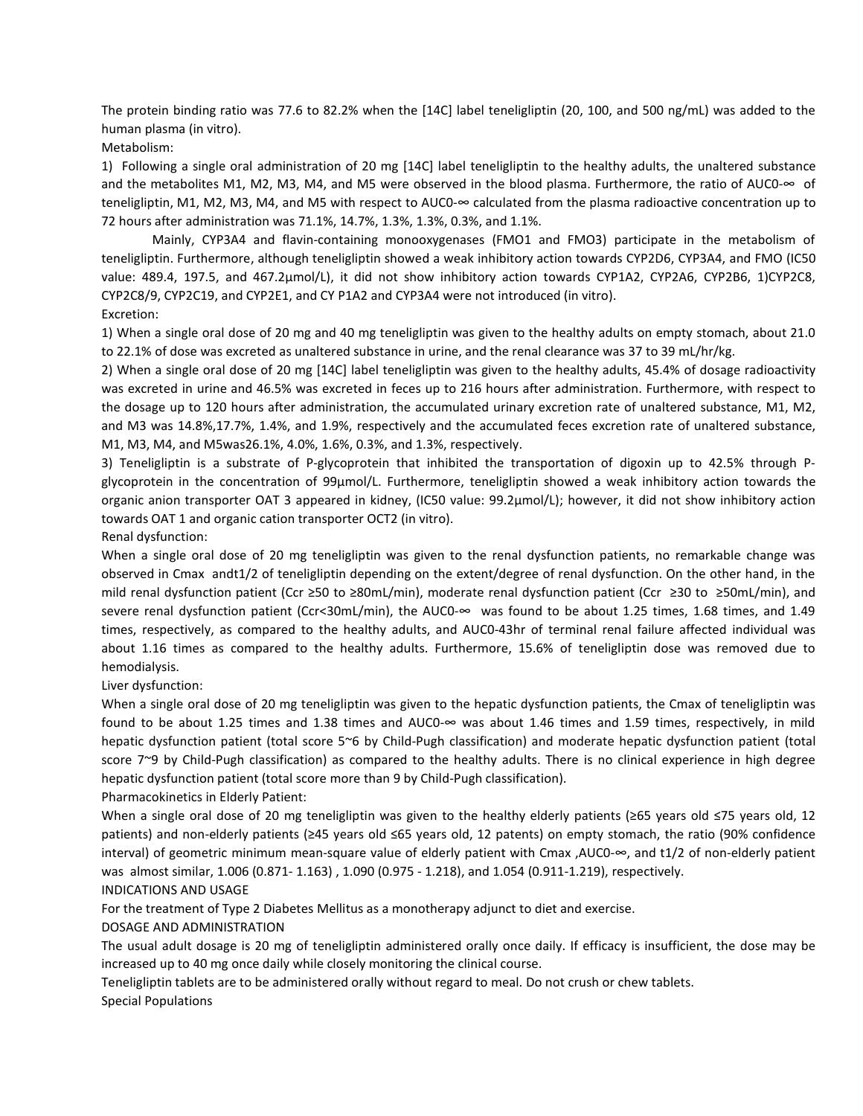The protein binding ratio was 77.6 to 82.2% when the [14C] label teneligliptin (20, 100, and 500 ng/mL) was added to the human plasma (in vitro).

Metabolism:

1) Following a single oral administration of 20 mg [14C] label teneligliptin to the healthy adults, the unaltered substance and the metabolites M1, M2, M3, M4, and M5 were observed in the blood plasma. Furthermore, the ratio of AUC0-∞ of teneligliptin, M1, M2, M3, M4, and M5 with respect to AUC0-∞ calculated from the plasma radioactive concentration up to 72 hours after administration was 71.1%, 14.7%, 1.3%, 1.3%, 0.3%, and 1.1%.

Mainly, CYP3A4 and flavin-containing monooxygenases (FMO1 and FMO3) participate in the metabolism of teneligliptin. Furthermore, although teneligliptin showed a weak inhibitory action towards CYP2D6, CYP3A4, and FMO (IC50 value: 489.4, 197.5, and 467.2µmol/L), it did not show inhibitory action towards CYP1A2, CYP2A6, CYP2B6, 1)CYP2C8, CYP2C8/9, CYP2C19, and CYP2E1, and CY P1A2 and CYP3A4 were not introduced (in vitro). Excretion:

1) When a single oral dose of 20 mg and 40 mg teneligliptin was given to the healthy adults on empty stomach, about 21.0 to 22.1% of dose was excreted as unaltered substance in urine, and the renal clearance was 37 to 39 mL/hr/kg.

2) When a single oral dose of 20 mg [14C] label teneligliptin was given to the healthy adults, 45.4% of dosage radioactivity was excreted in urine and 46.5% was excreted in feces up to 216 hours after administration. Furthermore, with respect to the dosage up to 120 hours after administration, the accumulated urinary excretion rate of unaltered substance, M1, M2, and M3 was 14.8%,17.7%, 1.4%, and 1.9%, respectively and the accumulated feces excretion rate of unaltered substance, M1, M3, M4, and M5was26.1%, 4.0%, 1.6%, 0.3%, and 1.3%, respectively.

3) Teneligliptin is a substrate of P-glycoprotein that inhibited the transportation of digoxin up to 42.5% through Pglycoprotein in the concentration of 99µmol/L. Furthermore, teneligliptin showed a weak inhibitory action towards the organic anion transporter OAT 3 appeared in kidney, (IC50 value: 99.2µmol/L); however, it did not show inhibitory action towards OAT 1 and organic cation transporter OCT2 (in vitro).

Renal dysfunction:

When a single oral dose of 20 mg teneligliptin was given to the renal dysfunction patients, no remarkable change was observed in Cmax andt1/2 of teneligliptin depending on the extent/degree of renal dysfunction. On the other hand, in the mild renal dysfunction patient (Ccr ≥50 to ≥80mL/min), moderate renal dysfunction patient (Ccr ≥30 to ≥50mL/min), and severe renal dysfunction patient (Ccr<30mL/min), the AUC0-∞ was found to be about 1.25 times, 1.68 times, and 1.49 times, respectively, as compared to the healthy adults, and AUC0-43hr of terminal renal failure affected individual was about 1.16 times as compared to the healthy adults. Furthermore, 15.6% of teneligliptin dose was removed due to hemodialysis.

Liver dysfunction:

When a single oral dose of 20 mg teneligliptin was given to the hepatic dysfunction patients, the Cmax of teneligliptin was found to be about 1.25 times and 1.38 times and AUC0- $\infty$  was about 1.46 times and 1.59 times, respectively, in mild hepatic dysfunction patient (total score 5~6 by Child-Pugh classification) and moderate hepatic dysfunction patient (total score 7~9 by Child-Pugh classification) as compared to the healthy adults. There is no clinical experience in high degree hepatic dysfunction patient (total score more than 9 by Child-Pugh classification).

Pharmacokinetics in Elderly Patient:

When a single oral dose of 20 mg teneligliptin was given to the healthy elderly patients (≥65 years old ≤75 years old, 12 patients) and non-elderly patients (≥45 years old ≤65 years old, 12 patents) on empty stomach, the ratio (90% confidence interval) of geometric minimum mean-square value of elderly patient with Cmax ,AUC0-∞, and t1/2 of non-elderly patient was almost similar, 1.006 (0.871- 1.163) , 1.090 (0.975 - 1.218), and 1.054 (0.911-1.219), respectively. INDICATIONS AND USAGE

For the treatment of Type 2 Diabetes Mellitus as a monotherapy adjunct to diet and exercise.

DOSAGE AND ADMINISTRATION

The usual adult dosage is 20 mg of teneligliptin administered orally once daily. If efficacy is insufficient, the dose may be increased up to 40 mg once daily while closely monitoring the clinical course.

Teneligliptin tablets are to be administered orally without regard to meal. Do not crush or chew tablets. Special Populations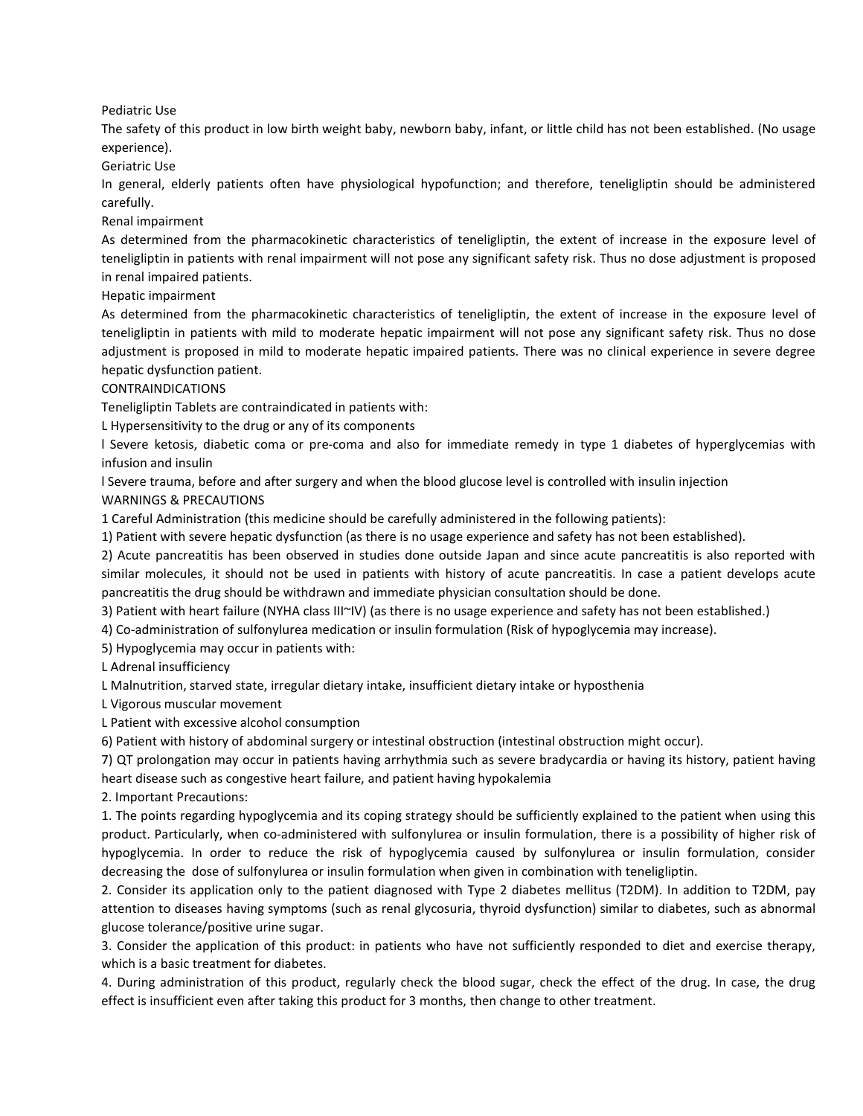Pediatric Use

The safety of this product in low birth weight baby, newborn baby, infant, or little child has not been established. (No usage experience).

Geriatric Use

In general, elderly patients often have physiological hypofunction; and therefore, teneligliptin should be administered carefully.

Renal impairment

As determined from the pharmacokinetic characteristics of teneligliptin, the extent of increase in the exposure level of teneligliptin in patients with renal impairment will not pose any significant safety risk. Thus no dose adjustment is proposed in renal impaired patients.

Hepatic impairment

As determined from the pharmacokinetic characteristics of teneligliptin, the extent of increase in the exposure level of teneligliptin in patients with mild to moderate hepatic impairment will not pose any significant safety risk. Thus no dose adjustment is proposed in mild to moderate hepatic impaired patients. There was no clinical experience in severe degree hepatic dysfunction patient.

#### CONTRAINDICATIONS

Teneligliptin Tablets are contraindicated in patients with:

L Hypersensitivity to the drug or any of its components

l Severe ketosis, diabetic coma or pre-coma and also for immediate remedy in type 1 diabetes of hyperglycemias with infusion and insulin

l Severe trauma, before and after surgery and when the blood glucose level is controlled with insulin injection WARNINGS & PRECAUTIONS

1 Careful Administration (this medicine should be carefully administered in the following patients):

1) Patient with severe hepatic dysfunction (as there is no usage experience and safety has not been established).

2) Acute pancreatitis has been observed in studies done outside Japan and since acute pancreatitis is also reported with similar molecules, it should not be used in patients with history of acute pancreatitis. In case a patient develops acute pancreatitis the drug should be withdrawn and immediate physician consultation should be done.

3) Patient with heart failure (NYHA class III~IV) (as there is no usage experience and safety has not been established.)

4) Co-administration of sulfonylurea medication or insulin formulation (Risk of hypoglycemia may increase).

5) Hypoglycemia may occur in patients with:

L Adrenal insufficiency

L Malnutrition, starved state, irregular dietary intake, insufficient dietary intake or hyposthenia

L Vigorous muscular movement

L Patient with excessive alcohol consumption

6) Patient with history of abdominal surgery or intestinal obstruction (intestinal obstruction might occur).

7) QT prolongation may occur in patients having arrhythmia such as severe bradycardia or having its history, patient having heart disease such as congestive heart failure, and patient having hypokalemia

2. Important Precautions:

1. The points regarding hypoglycemia and its coping strategy should be sufficiently explained to the patient when using this product. Particularly, when co-administered with sulfonylurea or insulin formulation, there is a possibility of higher risk of hypoglycemia. In order to reduce the risk of hypoglycemia caused by sulfonylurea or insulin formulation, consider decreasing the dose of sulfonylurea or insulin formulation when given in combination with teneligliptin.

2. Consider its application only to the patient diagnosed with Type 2 diabetes mellitus (T2DM). In addition to T2DM, pay attention to diseases having symptoms (such as renal glycosuria, thyroid dysfunction) similar to diabetes, such as abnormal glucose tolerance/positive urine sugar.

3. Consider the application of this product: in patients who have not sufficiently responded to diet and exercise therapy, which is a basic treatment for diabetes.

4. During administration of this product, regularly check the blood sugar, check the effect of the drug. In case, the drug effect is insufficient even after taking this product for 3 months, then change to other treatment.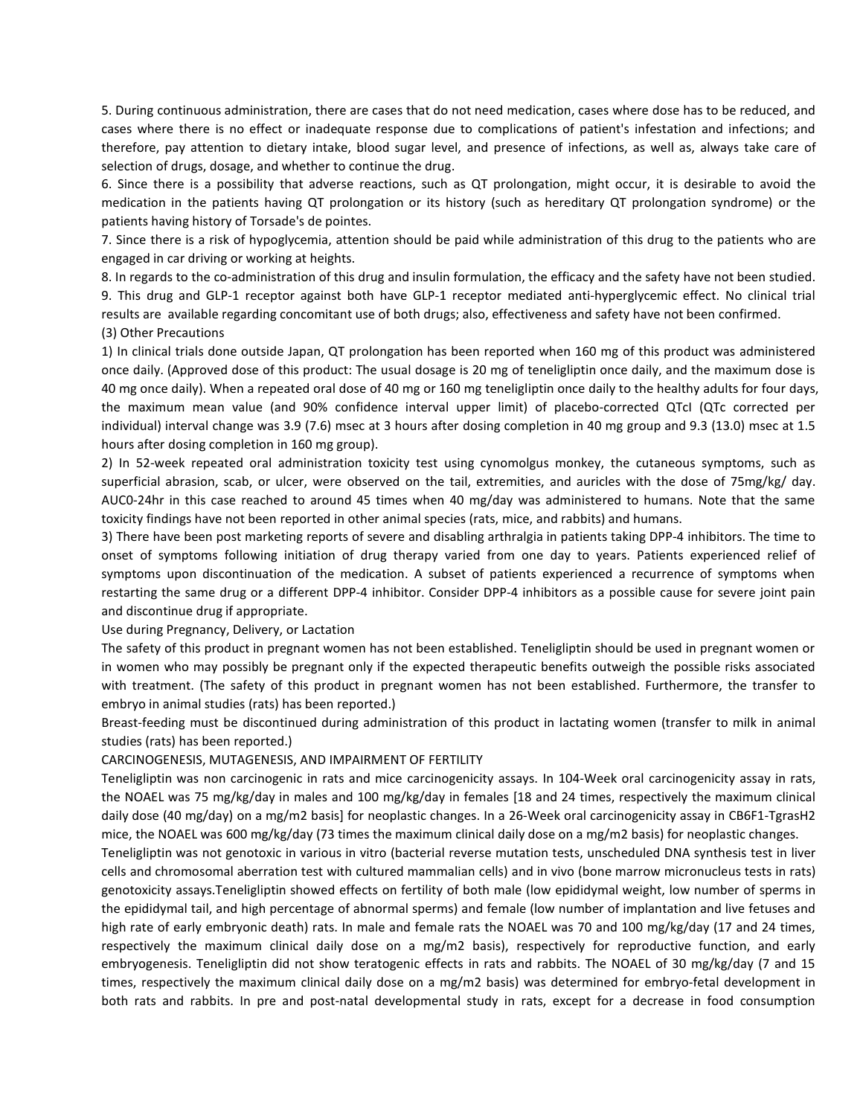5. During continuous administration, there are cases that do not need medication, cases where dose has to be reduced, and cases where there is no effect or inadequate response due to complications of patient's infestation and infections; and therefore, pay attention to dietary intake, blood sugar level, and presence of infections, as well as, always take care of selection of drugs, dosage, and whether to continue the drug.

6. Since there is a possibility that adverse reactions, such as QT prolongation, might occur, it is desirable to avoid the medication in the patients having QT prolongation or its history (such as hereditary QT prolongation syndrome) or the patients having history of Torsade's de pointes.

7. Since there is a risk of hypoglycemia, attention should be paid while administration of this drug to the patients who are engaged in car driving or working at heights.

8. In regards to the co-administration of this drug and insulin formulation, the efficacy and the safety have not been studied. 9. This drug and GLP-1 receptor against both have GLP-1 receptor mediated anti-hyperglycemic effect. No clinical trial results are available regarding concomitant use of both drugs; also, effectiveness and safety have not been confirmed. (3) Other Precautions

1) In clinical trials done outside Japan, QT prolongation has been reported when 160 mg of this product was administered once daily. (Approved dose of this product: The usual dosage is 20 mg of teneligliptin once daily, and the maximum dose is 40 mg once daily). When a repeated oral dose of 40 mg or 160 mg teneligliptin once daily to the healthy adults for four days, the maximum mean value (and 90% confidence interval upper limit) of placebo-corrected QTcI (QTc corrected per individual) interval change was 3.9 (7.6) msec at 3 hours after dosing completion in 40 mg group and 9.3 (13.0) msec at 1.5 hours after dosing completion in 160 mg group).

2) In 52-week repeated oral administration toxicity test using cynomolgus monkey, the cutaneous symptoms, such as superficial abrasion, scab, or ulcer, were observed on the tail, extremities, and auricles with the dose of 75mg/kg/ day. AUC0-24hr in this case reached to around 45 times when 40 mg/day was administered to humans. Note that the same toxicity findings have not been reported in other animal species (rats, mice, and rabbits) and humans.

3) There have been post marketing reports of severe and disabling arthralgia in patients taking DPP-4 inhibitors. The time to onset of symptoms following initiation of drug therapy varied from one day to years. Patients experienced relief of symptoms upon discontinuation of the medication. A subset of patients experienced a recurrence of symptoms when restarting the same drug or a different DPP-4 inhibitor. Consider DPP-4 inhibitors as a possible cause for severe joint pain and discontinue drug if appropriate.

Use during Pregnancy, Delivery, or Lactation

The safety of this product in pregnant women has not been established. Teneligliptin should be used in pregnant women or in women who may possibly be pregnant only if the expected therapeutic benefits outweigh the possible risks associated with treatment. (The safety of this product in pregnant women has not been established. Furthermore, the transfer to embryo in animal studies (rats) has been reported.)

Breast-feeding must be discontinued during administration of this product in lactating women (transfer to milk in animal studies (rats) has been reported.)

#### CARCINOGENESIS, MUTAGENESIS, AND IMPAIRMENT OF FERTILITY

Teneligliptin was non carcinogenic in rats and mice carcinogenicity assays. In 104-Week oral carcinogenicity assay in rats, the NOAEL was 75 mg/kg/day in males and 100 mg/kg/day in females [18 and 24 times, respectively the maximum clinical daily dose (40 mg/day) on a mg/m2 basis] for neoplastic changes. In a 26-Week oral carcinogenicity assay in CB6F1-TgrasH2 mice, the NOAEL was 600 mg/kg/day (73 times the maximum clinical daily dose on a mg/m2 basis) for neoplastic changes.

Teneligliptin was not genotoxic in various in vitro (bacterial reverse mutation tests, unscheduled DNA synthesis test in liver cells and chromosomal aberration test with cultured mammalian cells) and in vivo (bone marrow micronucleus tests in rats) genotoxicity assays.Teneligliptin showed effects on fertility of both male (low epididymal weight, low number of sperms in the epididymal tail, and high percentage of abnormal sperms) and female (low number of implantation and live fetuses and high rate of early embryonic death) rats. In male and female rats the NOAEL was 70 and 100 mg/kg/day (17 and 24 times, respectively the maximum clinical daily dose on a mg/m2 basis), respectively for reproductive function, and early embryogenesis. Teneligliptin did not show teratogenic effects in rats and rabbits. The NOAEL of 30 mg/kg/day (7 and 15 times, respectively the maximum clinical daily dose on a mg/m2 basis) was determined for embryo-fetal development in both rats and rabbits. In pre and post-natal developmental study in rats, except for a decrease in food consumption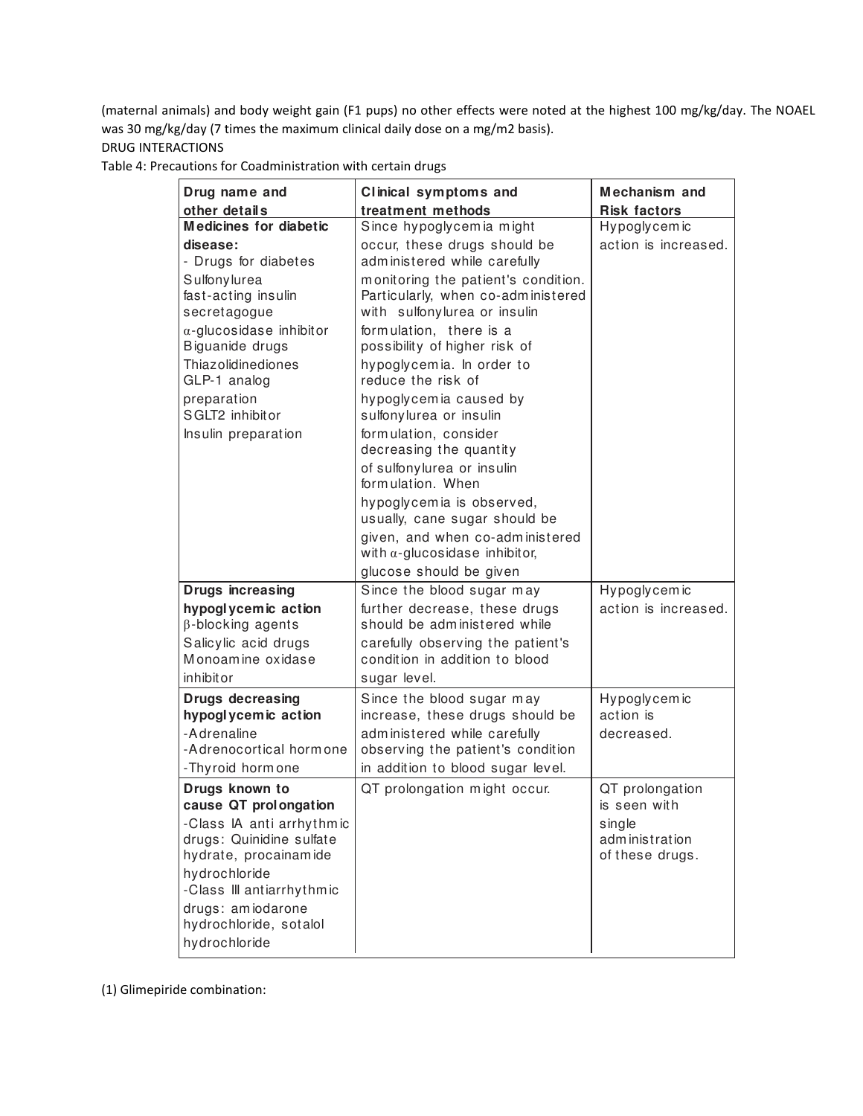(maternal animals) and body weight gain (F1 pups) no other effects were noted at the highest 100 mg/kg/day. The NOAEL was 30 mg/kg/day (7 times the maximum clinical daily dose on a mg/m2 basis).

# DRUG INTERACTIONS

Table 4: Precautions for Coadministration with certain drugs

| Drug name and                                                                                                 | Clinical symptoms and                                                                                                                                                  | Mechanism and                               |
|---------------------------------------------------------------------------------------------------------------|------------------------------------------------------------------------------------------------------------------------------------------------------------------------|---------------------------------------------|
| other details<br><b>Medicines for diabetic</b>                                                                | treatment methods                                                                                                                                                      | <b>Risk factors</b>                         |
| disease:<br>- Drugs for diabetes                                                                              | Since hypoglycemia might<br>occur, these drugs should be<br>administered while carefully                                                                               | Hypoglycemic<br>action is increased.        |
| Sulfonylurea<br>fast-acting insulin<br>secretagogue<br>$\alpha$ -glucosidase inhibitor                        | monitoring the patient's condition.<br>Particularly, when co-administered<br>with sulfonylurea or insulin<br>formulation, there is a                                   |                                             |
| Biguanide drugs<br>Thiazolidinediones<br>GLP-1 analog                                                         | possibility of higher risk of<br>hypoglycemia. In order to<br>reduce the risk of                                                                                       |                                             |
| preparation<br>SGLT2 inhibitor                                                                                | hypoglycemia caused by<br>sulfonylurea or insulin                                                                                                                      |                                             |
| Insulin preparation                                                                                           | formulation, consider<br>decreasing the quantity                                                                                                                       |                                             |
|                                                                                                               | of sulfonylurea or insulin<br>form ulation. When                                                                                                                       |                                             |
|                                                                                                               | hypoglycemia is observed,<br>usually, cane sugar should be                                                                                                             |                                             |
|                                                                                                               | given, and when co-administered<br>with $\alpha$ -glucosidase inhibitor,                                                                                               |                                             |
|                                                                                                               | glucose should be given                                                                                                                                                |                                             |
| <b>Drugs increasing</b>                                                                                       | Since the blood sugar may                                                                                                                                              | Hypoglycemic                                |
| hypoglycemic action<br>$\beta$ -blocking agents                                                               | further decrease, these drugs<br>should be administered while                                                                                                          | action is increased.                        |
| Salicylic acid drugs<br>Monoamine oxidase                                                                     | carefully observing the patient's<br>condition in addition to blood                                                                                                    |                                             |
| inhibitor                                                                                                     | sugar level.                                                                                                                                                           |                                             |
| <b>Drugs decreasing</b><br>hypoglycemic action<br>-Adrenaline<br>-Adrenocortical hormone<br>-Thyroid horm one | Since the blood sugar may<br>increase, these drugs should be<br>administered while carefully<br>observing the patient's condition<br>in addition to blood sugar level. | Hypoglycemic<br>action is<br>decreased.     |
| Drugs known to                                                                                                | QT prolongation might occur.                                                                                                                                           | QT prolongation                             |
| cause QT prolongation                                                                                         |                                                                                                                                                                        | is seen with                                |
| -Class IA anti arrhythmic<br>drugs: Quinidine sulfate<br>hydrate, procainamide                                |                                                                                                                                                                        | single<br>administration<br>of these drugs. |
| hydrochloride<br>-Class III antiarrhythmic                                                                    |                                                                                                                                                                        |                                             |
| drugs: amiodarone<br>hydrochloride, sotalol<br>hydrochloride                                                  |                                                                                                                                                                        |                                             |

(1) Glimepiride combination: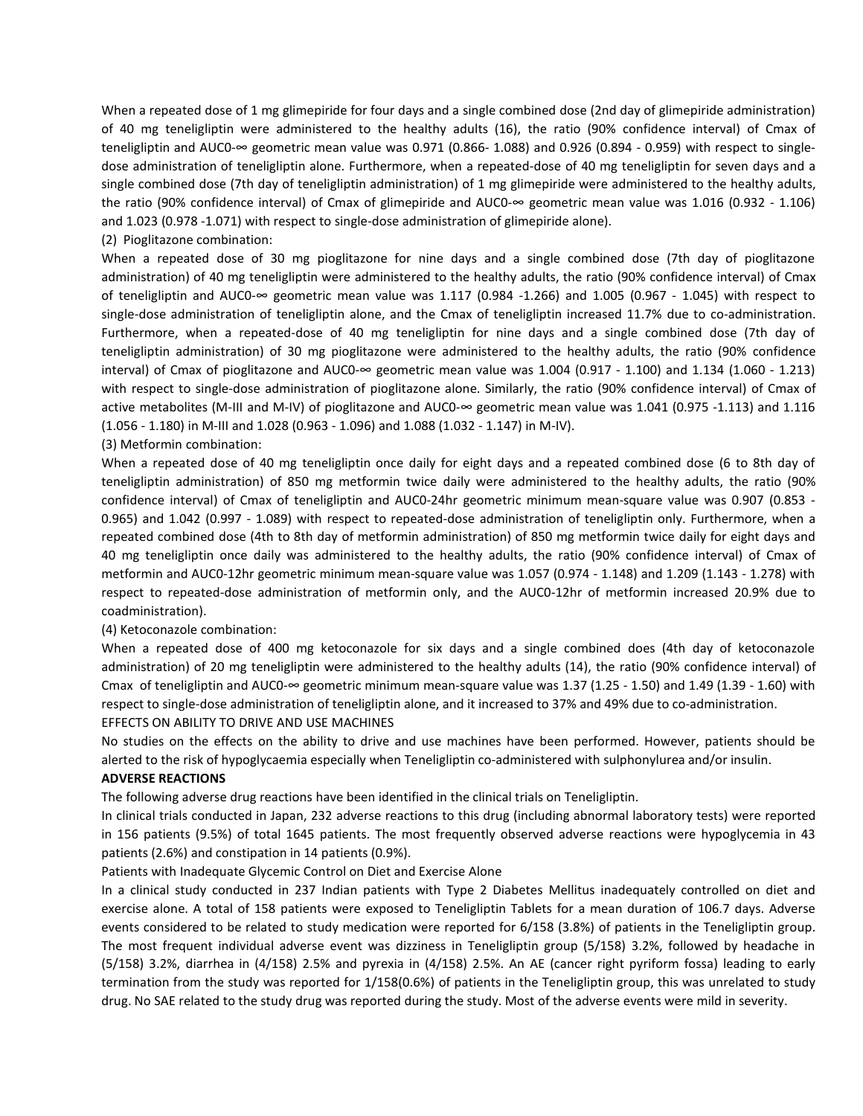When a repeated dose of 1 mg glimepiride for four days and a single combined dose (2nd day of glimepiride administration) of 40 mg teneligliptin were administered to the healthy adults (16), the ratio (90% confidence interval) of Cmax of teneligliptin and AUC0-∞ geometric mean value was 0.971 (0.866- 1.088) and 0.926 (0.894 - 0.959) with respect to singledose administration of teneligliptin alone. Furthermore, when a repeated-dose of 40 mg teneligliptin for seven days and a single combined dose (7th day of teneligliptin administration) of 1 mg glimepiride were administered to the healthy adults, the ratio (90% confidence interval) of Cmax of glimepiride and AUC0-∞ geometric mean value was 1.016 (0.932 - 1.106) and 1.023 (0.978 -1.071) with respect to single-dose administration of glimepiride alone).

(2) Pioglitazone combination:

When a repeated dose of 30 mg pioglitazone for nine days and a single combined dose (7th day of pioglitazone administration) of 40 mg teneligliptin were administered to the healthy adults, the ratio (90% confidence interval) of Cmax of teneligliptin and AUC0-∞ geometric mean value was 1.117 (0.984 -1.266) and 1.005 (0.967 - 1.045) with respect to single-dose administration of teneligliptin alone, and the Cmax of teneligliptin increased 11.7% due to co-administration. Furthermore, when a repeated-dose of 40 mg teneligliptin for nine days and a single combined dose (7th day of teneligliptin administration) of 30 mg pioglitazone were administered to the healthy adults, the ratio (90% confidence interval) of Cmax of pioglitazone and AUC0-∞ geometric mean value was 1.004 (0.917 - 1.100) and 1.134 (1.060 - 1.213) with respect to single-dose administration of pioglitazone alone. Similarly, the ratio (90% confidence interval) of Cmax of active metabolites (M-III and M-IV) of pioglitazone and AUC0-∞ geometric mean value was 1.041 (0.975 -1.113) and 1.116 (1.056 - 1.180) in M-III and 1.028 (0.963 - 1.096) and 1.088 (1.032 - 1.147) in M-IV).

(3) Metformin combination:

When a repeated dose of 40 mg teneligliptin once daily for eight days and a repeated combined dose (6 to 8th day of teneligliptin administration) of 850 mg metformin twice daily were administered to the healthy adults, the ratio (90% confidence interval) of Cmax of teneligliptin and AUC0-24hr geometric minimum mean-square value was 0.907 (0.853 - 0.965) and 1.042 (0.997 - 1.089) with respect to repeated-dose administration of teneligliptin only. Furthermore, when a repeated combined dose (4th to 8th day of metformin administration) of 850 mg metformin twice daily for eight days and 40 mg teneligliptin once daily was administered to the healthy adults, the ratio (90% confidence interval) of Cmax of metformin and AUC0-12hr geometric minimum mean-square value was 1.057 (0.974 - 1.148) and 1.209 (1.143 - 1.278) with respect to repeated-dose administration of metformin only, and the AUC0-12hr of metformin increased 20.9% due to coadministration).

(4) Ketoconazole combination:

When a repeated dose of 400 mg ketoconazole for six days and a single combined does (4th day of ketoconazole administration) of 20 mg teneligliptin were administered to the healthy adults (14), the ratio (90% confidence interval) of Cmax of teneligliptin and AUC0- $\infty$  geometric minimum mean-square value was 1.37 (1.25 - 1.50) and 1.49 (1.39 - 1.60) with respect to single-dose administration of teneligliptin alone, and it increased to 37% and 49% due to co-administration. EFFECTS ON ABILITY TO DRIVE AND USE MACHINES

No studies on the effects on the ability to drive and use machines have been performed. However, patients should be alerted to the risk of hypoglycaemia especially when Teneligliptin co-administered with sulphonylurea and/or insulin.

#### ADVERSE REACTIONS

The following adverse drug reactions have been identified in the clinical trials on Teneligliptin.

In clinical trials conducted in Japan, 232 adverse reactions to this drug (including abnormal laboratory tests) were reported in 156 patients (9.5%) of total 1645 patients. The most frequently observed adverse reactions were hypoglycemia in 43 patients (2.6%) and constipation in 14 patients (0.9%).

#### Patients with Inadequate Glycemic Control on Diet and Exercise Alone

In a clinical study conducted in 237 Indian patients with Type 2 Diabetes Mellitus inadequately controlled on diet and exercise alone. A total of 158 patients were exposed to Teneligliptin Tablets for a mean duration of 106.7 days. Adverse events considered to be related to study medication were reported for 6/158 (3.8%) of patients in the Teneligliptin group. The most frequent individual adverse event was dizziness in Teneligliptin group (5/158) 3.2%, followed by headache in (5/158) 3.2%, diarrhea in (4/158) 2.5% and pyrexia in (4/158) 2.5%. An AE (cancer right pyriform fossa) leading to early termination from the study was reported for 1/158(0.6%) of patients in the Teneligliptin group, this was unrelated to study drug. No SAE related to the study drug was reported during the study. Most of the adverse events were mild in severity.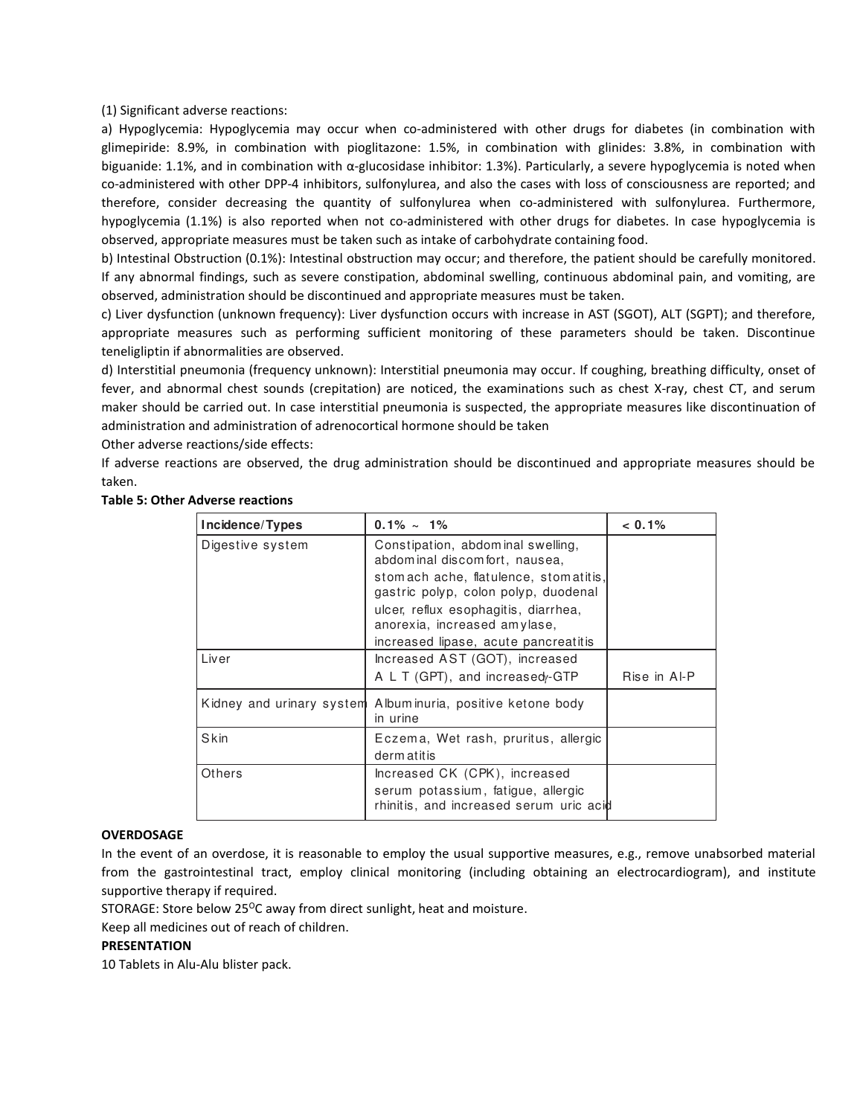(1) Significant adverse reactions:

a) Hypoglycemia: Hypoglycemia may occur when co-administered with other drugs for diabetes (in combination with glimepiride: 8.9%, in combination with pioglitazone: 1.5%, in combination with glinides: 3.8%, in combination with biguanide: 1.1%, and in combination with α-glucosidase inhibitor: 1.3%). Particularly, a severe hypoglycemia is noted when co-administered with other DPP-4 inhibitors, sulfonylurea, and also the cases with loss of consciousness are reported; and therefore, consider decreasing the quantity of sulfonylurea when co-administered with sulfonylurea. Furthermore, hypoglycemia (1.1%) is also reported when not co-administered with other drugs for diabetes. In case hypoglycemia is observed, appropriate measures must be taken such as intake of carbohydrate containing food.

b) Intestinal Obstruction (0.1%): Intestinal obstruction may occur; and therefore, the patient should be carefully monitored. If any abnormal findings, such as severe constipation, abdominal swelling, continuous abdominal pain, and vomiting, are observed, administration should be discontinued and appropriate measures must be taken.

c) Liver dysfunction (unknown frequency): Liver dysfunction occurs with increase in AST (SGOT), ALT (SGPT); and therefore, appropriate measures such as performing sufficient monitoring of these parameters should be taken. Discontinue teneligliptin if abnormalities are observed.

d) Interstitial pneumonia (frequency unknown): Interstitial pneumonia may occur. If coughing, breathing difficulty, onset of fever, and abnormal chest sounds (crepitation) are noticed, the examinations such as chest X-ray, chest CT, and serum maker should be carried out. In case interstitial pneumonia is suspected, the appropriate measures like discontinuation of administration and administration of adrenocortical hormone should be taken

Other adverse reactions/side effects:

If adverse reactions are observed, the drug administration should be discontinued and appropriate measures should be taken.

| Incidence/Types           | $0.1\% \sim 1\%$                                                                                               | $< 0.1\%$    |
|---------------------------|----------------------------------------------------------------------------------------------------------------|--------------|
| Digestive system          | Constipation, abdominal swelling,<br>abdominal discomfort, nausea,                                             |              |
|                           | stomach ache, flatulence, stomatitis,<br>gastric polyp, colon polyp, duodenal                                  |              |
|                           | ulcer, reflux esophagitis, diarrhea,<br>anorexia, increased amylase,                                           |              |
|                           | increased lipase, acute pancreatitis                                                                           |              |
| Liver                     | Increased AST (GOT), increased                                                                                 |              |
|                           | A L T (GPT), and increasedy-GTP                                                                                | Rise in Al-P |
| Kidney and urinary system | Albuminuria, positive ketone body<br>in urine                                                                  |              |
| Skin                      | Eczema, Wet rash, pruritus, allergic<br>derm at it is                                                          |              |
| Others                    | Increased CK (CPK), increased<br>serum potassium, fatigue, allergic<br>rhinitis, and increased serum uric acid |              |

## Table 5: Other Adverse reactions

## **OVERDOSAGE**

In the event of an overdose, it is reasonable to employ the usual supportive measures, e.g., remove unabsorbed material from the gastrointestinal tract, employ clinical monitoring (including obtaining an electrocardiogram), and institute supportive therapy if required.

STORAGE: Store below 25 $^{\circ}$ C away from direct sunlight, heat and moisture.

Keep all medicines out of reach of children.

## PRESENTATION

10 Tablets in Alu-Alu blister pack.